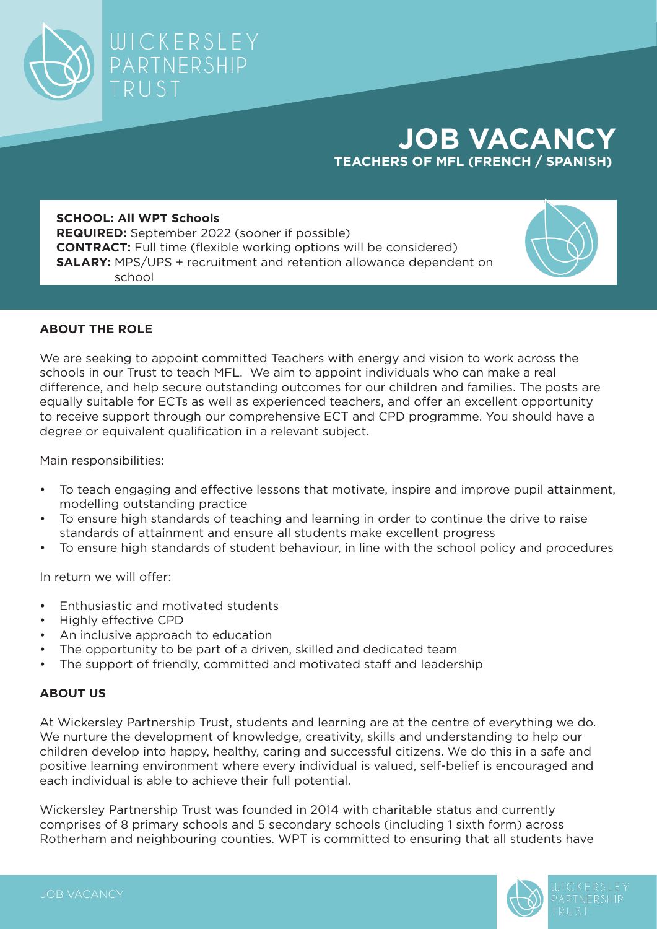## **JOB VACANCY TEACHERS OF MFL (FRENCH / SPANISH)**

## **SCHOOL: All WPT Schools**

TRUST

WICKERSLEY

PARTNERSHIP

**REQUIRED:** September 2022 (sooner if possible) **CONTRACT:** Full time (flexible working options will be considered) **SALARY:** MPS/UPS + recruitment and retention allowance dependent on school



## **ABOUT THE ROLE**

We are seeking to appoint committed Teachers with energy and vision to work across the schools in our Trust to teach MFL. We aim to appoint individuals who can make a real difference, and help secure outstanding outcomes for our children and families. The posts are equally suitable for ECTs as well as experienced teachers, and offer an excellent opportunity to receive support through our comprehensive ECT and CPD programme. You should have a degree or equivalent qualification in a relevant subject.

Main responsibilities:

- To teach engaging and effective lessons that motivate, inspire and improve pupil attainment, modelling outstanding practice
- To ensure high standards of teaching and learning in order to continue the drive to raise standards of attainment and ensure all students make excellent progress
- To ensure high standards of student behaviour, in line with the school policy and procedures

In return we will offer:

- Enthusiastic and motivated students
- Highly effective CPD
- An inclusive approach to education
- The opportunity to be part of a driven, skilled and dedicated team
- The support of friendly, committed and motivated staff and leadership

## **ABOUT US**

At Wickersley Partnership Trust, students and learning are at the centre of everything we do. We nurture the development of knowledge, creativity, skills and understanding to help our children develop into happy, healthy, caring and successful citizens. We do this in a safe and positive learning environment where every individual is valued, self-belief is encouraged and each individual is able to achieve their full potential.

Wickersley Partnership Trust was founded in 2014 with charitable status and currently comprises of 8 primary schools and 5 secondary schools (including 1 sixth form) across Rotherham and neighbouring counties. WPT is committed to ensuring that all students have